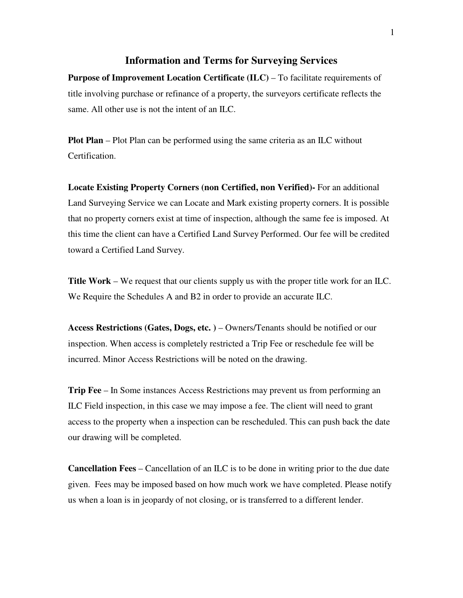## **Information and Terms for Surveying Services**

**Purpose of Improvement Location Certificate (ILC)** – To facilitate requirements of title involving purchase or refinance of a property, the surveyors certificate reflects the same. All other use is not the intent of an ILC.

**Plot Plan** – Plot Plan can be performed using the same criteria as an ILC without Certification.

**Locate Existing Property Corners (non Certified, non Verified)-** For an additional Land Surveying Service we can Locate and Mark existing property corners. It is possible that no property corners exist at time of inspection, although the same fee is imposed. At this time the client can have a Certified Land Survey Performed. Our fee will be credited toward a Certified Land Survey.

**Title Work** – We request that our clients supply us with the proper title work for an ILC. We Require the Schedules A and B2 in order to provide an accurate ILC.

**Access Restrictions (Gates, Dogs, etc. )** – Owners/Tenants should be notified or our inspection. When access is completely restricted a Trip Fee or reschedule fee will be incurred. Minor Access Restrictions will be noted on the drawing.

**Trip Fee** – In Some instances Access Restrictions may prevent us from performing an ILC Field inspection, in this case we may impose a fee. The client will need to grant access to the property when a inspection can be rescheduled. This can push back the date our drawing will be completed.

**Cancellation Fees** – Cancellation of an ILC is to be done in writing prior to the due date given. Fees may be imposed based on how much work we have completed. Please notify us when a loan is in jeopardy of not closing, or is transferred to a different lender.